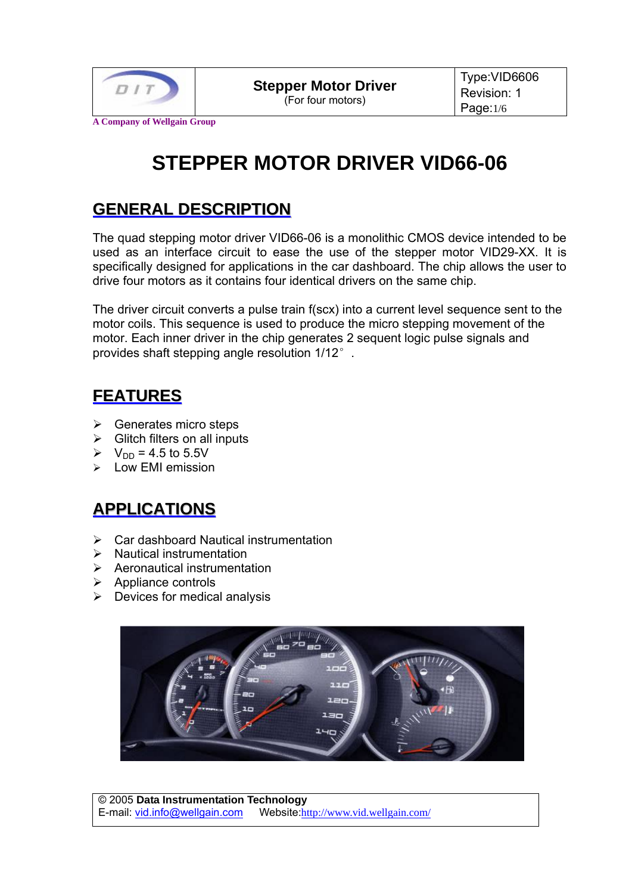

**A Company of Wellgain Group**

# **STEPPER MOTOR DRIVER VID66-06**

### **GENERAL DESCRIPTION**

The quad stepping motor driver VID66-06 is a monolithic CMOS device intended to be used as an interface circuit to ease the use of the stepper motor VID29-XX. It is specifically designed for applications in the car dashboard. The chip allows the user to drive four motors as it contains four identical drivers on the same chip.

The driver circuit converts a pulse train f(scx) into a current level sequence sent to the motor coils. This sequence is used to produce the micro stepping movement of the motor. Each inner driver in the chip generates 2 sequent logic pulse signals and provides shaft stepping angle resolution 1/12°.

#### **FEATURES**

- $\triangleright$  Generates micro steps
- $\triangleright$  Glitch filters on all inputs
- $V_{DD} = 4.5$  to 5.5V
- $\triangleright$  Low EMI emission

# **APPLICATIONS**

- $\triangleright$  Car dashboard Nautical instrumentation
- $\triangleright$  Nautical instrumentation
- $\triangleright$  Aeronautical instrumentation
- $\triangleright$  Appliance controls
- $\triangleright$  Devices for medical analysis

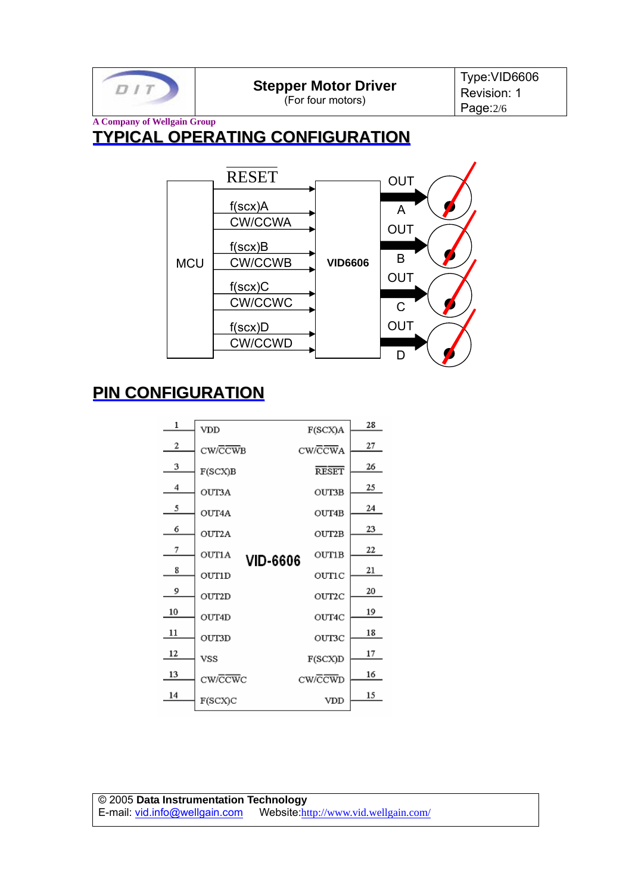

**Stepper Motor Driver** 

(For four motors)

Type:VID6606 Revision: 1 Page:2/6

#### **A Company of Wellgain Group TYPICAL OPERATING CONFIGURATION**



# **PIN CONFIGURATION**

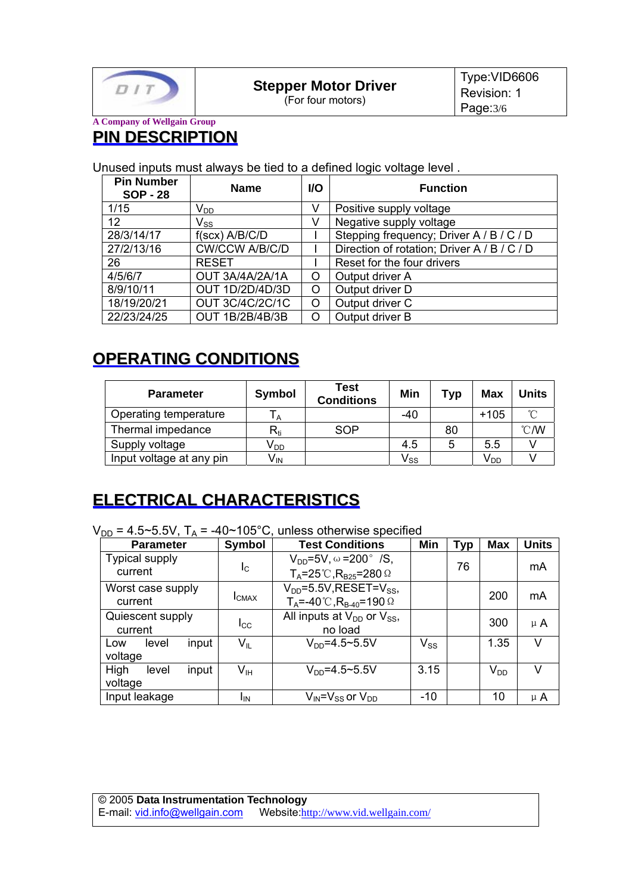

(For four motors)

#### **A Company of Wellgain Group PIN DESCRIPTION**

Unused inputs must always be tied to a defined logic voltage level .

| <b>Pin Number</b><br><b>SOP - 28</b> | <b>Name</b>                | <b>VO</b> | <b>Function</b>                             |
|--------------------------------------|----------------------------|-----------|---------------------------------------------|
| 1/15                                 | $\mathsf{V}_{\mathsf{DD}}$ | v         | Positive supply voltage                     |
| 12                                   | $\mathsf{V}_{\mathsf{SS}}$ | v         | Negative supply voltage                     |
| 28/3/14/17                           | $f(scx)$ A/B/C/D           |           | Stepping frequency; Driver A / B / C / D    |
| 27/2/13/16                           | <b>CW/CCW A/B/C/D</b>      |           | Direction of rotation; Driver A / B / C / D |
| 26                                   | <b>RESET</b>               |           | Reset for the four drivers                  |
| 4/5/6/7                              | OUT 3A/4A/2A/1A            | O         | Output driver A                             |
| 8/9/10/11                            | OUT 1D/2D/4D/3D            | Ω         | Output driver D                             |
| 18/19/20/21                          | <b>OUT 3C/4C/2C/1C</b>     | O         | Output driver C                             |
| 22/23/24/25                          | <b>OUT 1B/2B/4B/3B</b>     | ∩         | Output driver B                             |

#### **OPERATING CONDITIONS**

| <b>Parameter</b>         | <b>Symbol</b>              | <b>Test</b><br><b>Conditions</b> | Min                        | Typ | Max             | <b>Units</b>  |
|--------------------------|----------------------------|----------------------------------|----------------------------|-----|-----------------|---------------|
| Operating temperature    |                            |                                  | -40                        |     | $+105$          | $\sim$        |
| Thermal impedance        | $\mathsf{R}_{\mathsf{ti}}$ | SOP                              |                            | 80  |                 | $\degree$ C/W |
| Supply voltage           | V <sub>DD</sub>            |                                  | 4.5                        | 5   | 5.5             |               |
| Input voltage at any pin | V <sub>IN</sub>            |                                  | $\mathsf{V}_{\mathsf{SS}}$ |     | V <sub>DD</sub> |               |

# **ELECTRICAL CHARACTERISTICS**

 $V_{DD}$  = 4.5~5.5V,  $T_A$  = -40~105°C, unless otherwise specified

| <b>Parameter</b>                  | Symbol                     | <b>Test Conditions</b>                                                                             | Min      | Typ | <b>Max</b> | <b>Units</b> |
|-----------------------------------|----------------------------|----------------------------------------------------------------------------------------------------|----------|-----|------------|--------------|
| <b>Typical supply</b><br>current  | <sub>IC</sub>              | $V_{DD} = 5V$ , $\omega = 200^{\circ}$ /S,<br>$T_A = 25^\circ C$ , R <sub>B25</sub> = 280 $\Omega$ |          | 76  |            | mA           |
| Worst case supply<br>current      | <b>I</b> CMAX              | $V_{DD}$ =5.5V, RESET=V <sub>SS</sub> ,<br>$T_A = -40^{\circ}C$ , $R_{B-40} = 190^{\circ}$         |          |     | 200        | mA           |
| Quiescent supply<br>current       | Icc                        | All inputs at $V_{DD}$ or $V_{SS}$ ,<br>no load                                                    |          |     | 300        | $\mu$ A      |
| input<br>level<br>Low<br>voltage  | $\mathsf{V}_{\mathsf{IL}}$ | $V_{DD} = 4.5 - 5.5V$                                                                              | $V_{SS}$ |     | 1.35       | $\vee$       |
| High<br>input<br>level<br>voltage | $V_{\sf IH}$               | $V_{DD} = 4.5 \times 5.5 V$                                                                        | 3.15     |     | $V_{DD}$   | v            |
| Input leakage                     | ΙıΝ                        | $V_{IN} = V_{SS}$ or $V_{DD}$                                                                      | $-10$    |     | 10         | $\mu$ A      |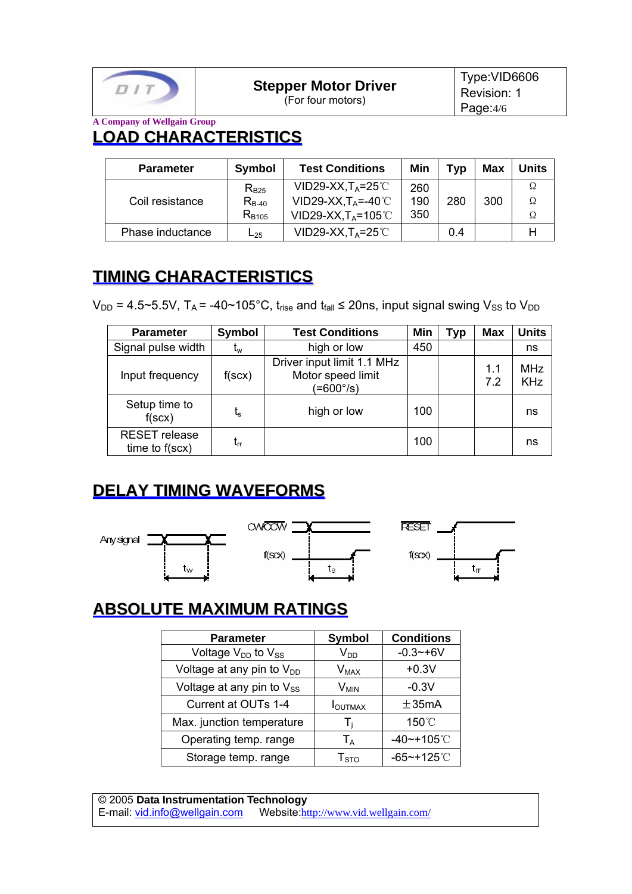

(For four motors)

Type:VID6606 Revision: 1 Page:4/6

**A Company of Wellgain Group LOAD CHARACTERISTICS**

| <b>Parameter</b> | <b>Symbol</b> | <b>Test Conditions</b>       | Min | Tvp | Max | <b>Units</b> |
|------------------|---------------|------------------------------|-----|-----|-----|--------------|
|                  | $R_{B25}$     | VID29-XX, $T_A = 25^{\circ}$ | 260 |     |     |              |
| Coil resistance  | $R_{B-40}$    | VID29-XX, $T_A$ =-40°C       | 190 | 280 | 300 | Ω            |
|                  | $R_{B105}$    | $VID29-XX,T_A=105°C$         | 350 |     |     | Ω            |
| Phase inductance | $L_{25}$      | $VID29-XX,T_A=25°C$          |     | 0.4 |     |              |

# **TIMING CHARACTERISTICS**

V<sub>DD</sub> = 4.5~5.5V, T<sub>A</sub> = -40~105°C, t<sub>rise</sub> and t<sub>fall</sub> ≤ 20ns, input signal swing V<sub>SS</sub> to V<sub>DD</sub>

| <b>Parameter</b>                                | Symbol         | <b>Test Conditions</b>                                       | Min | Typ | <b>Max</b> | <b>Units</b>             |
|-------------------------------------------------|----------------|--------------------------------------------------------------|-----|-----|------------|--------------------------|
| Signal pulse width                              | $t_{w}$        | high or low                                                  | 450 |     |            | ns                       |
| Input frequency                                 | $f({\rm scx})$ | Driver input limit 1.1 MHz<br>Motor speed limit<br>(=600°/s) |     |     | 1.1<br>7.2 | <b>MHz</b><br><b>KHz</b> |
| Setup time to<br>$f({\rm scx})$                 | ts             | high or low                                                  | 100 |     |            | ns                       |
| <b>RESET</b> release<br>time to $f(\text{sc}x)$ | $t_{rr}$       |                                                              | 100 |     |            | ns                       |

# **DELAY TIMING WAVEFORMS**



# **ABSOLUTE MAXIMUM RATINGS**

| <b>Parameter</b>                      | <b>Symbol</b>              | <b>Conditions</b> |
|---------------------------------------|----------------------------|-------------------|
| Voltage $V_{DD}$ to $V_{SS}$          | $\mathsf{V}_{\mathsf{DD}}$ | $-0.3 - +6V$      |
| Voltage at any pin to V <sub>DD</sub> | $V_{MAX}$                  | $+0.3V$           |
| Voltage at any pin to $V_{SS}$        | $V_{MIN}$                  | $-0.3V$           |
| Current at OUTs 1-4                   | <b>I</b> OUTMAX            | $\pm$ 35mA        |
| Max. junction temperature             | -l i                       | 150°C             |
| Operating temp. range                 | $T_A$                      | $-40$ ~+105°C     |
| Storage temp. range                   | ${\sf T}_{\rm STO}$        | $-65$ ~+125℃      |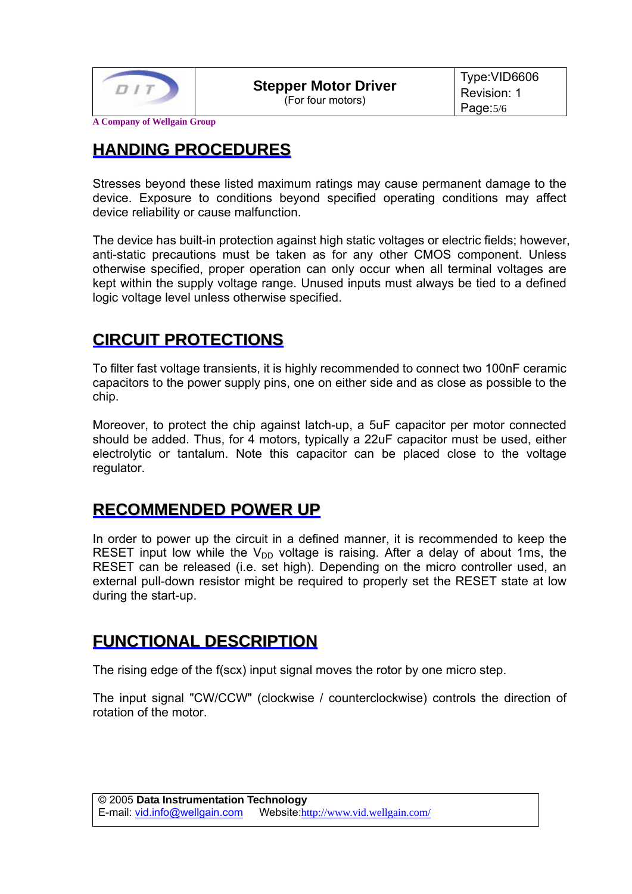

(For four motors)

**A Company of Wellgain Group**

#### **HANDING PROCEDURES**

Stresses beyond these listed maximum ratings may cause permanent damage to the device. Exposure to conditions beyond specified operating conditions may affect device reliability or cause malfunction.

The device has built-in protection against high static voltages or electric fields; however, anti-static precautions must be taken as for any other CMOS component. Unless otherwise specified, proper operation can only occur when all terminal voltages are kept within the supply voltage range. Unused inputs must always be tied to a defined logic voltage level unless otherwise specified.

#### **CIRCUIT PROTECTIONS**

To filter fast voltage transients, it is highly recommended to connect two 100nF ceramic capacitors to the power supply pins, one on either side and as close as possible to the chip.

Moreover, to protect the chip against latch-up, a 5uF capacitor per motor connected should be added. Thus, for 4 motors, typically a 22uF capacitor must be used, either electrolytic or tantalum. Note this capacitor can be placed close to the voltage regulator.

#### **RECOMMENDED POWER UP**

In order to power up the circuit in a defined manner, it is recommended to keep the RESET input low while the  $V_{DD}$  voltage is raising. After a delay of about 1ms, the RESET can be released (i.e. set high). Depending on the micro controller used, an external pull-down resistor might be required to properly set the RESET state at low during the start-up.

#### **FUNCTIONAL DESCRIPTION**

The rising edge of the f(scx) input signal moves the rotor by one micro step.

The input signal "CW/CCW" (clockwise / counterclockwise) controls the direction of rotation of the motor.